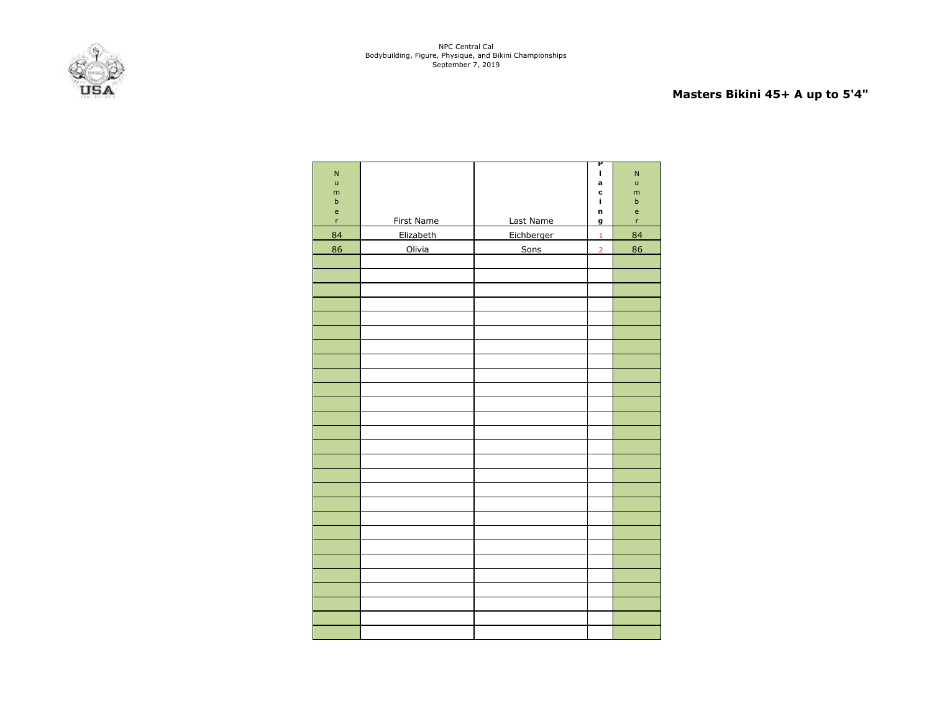

# **Masters Bikini 45+ A up to 5'4"**

| $\overline{N}$<br>$\mathsf{u}$<br>m<br>$\mathsf b$<br>$\mathsf{e}% _{0}\left( \mathsf{e}_{0}\right)$<br>$\bar{\mathbf{r}}$ | First Name | Last Name  | P<br>$\mathbf{I}$<br>a<br>c<br>î.<br>n<br>g | ${\sf N}$<br>ū<br>m<br>$\sf b$<br>e<br>'n |
|----------------------------------------------------------------------------------------------------------------------------|------------|------------|---------------------------------------------|-------------------------------------------|
| 84                                                                                                                         | Elizabeth  | Eichberger | $\mathbf 1$                                 | 84                                        |
| 86                                                                                                                         | Olivia     | Sons       | $\overline{2}$                              | 86                                        |
|                                                                                                                            |            |            |                                             |                                           |
|                                                                                                                            |            |            |                                             |                                           |
|                                                                                                                            |            |            |                                             |                                           |
|                                                                                                                            |            |            |                                             |                                           |
|                                                                                                                            |            |            |                                             |                                           |
|                                                                                                                            |            |            |                                             |                                           |
|                                                                                                                            |            |            |                                             |                                           |
|                                                                                                                            |            |            |                                             |                                           |
|                                                                                                                            |            |            |                                             |                                           |
|                                                                                                                            |            |            |                                             |                                           |
|                                                                                                                            |            |            |                                             |                                           |
|                                                                                                                            |            |            |                                             |                                           |
|                                                                                                                            |            |            |                                             |                                           |
|                                                                                                                            |            |            |                                             |                                           |
|                                                                                                                            |            |            |                                             |                                           |
|                                                                                                                            |            |            |                                             |                                           |
|                                                                                                                            |            |            |                                             |                                           |
|                                                                                                                            |            |            |                                             |                                           |
|                                                                                                                            |            |            |                                             |                                           |
|                                                                                                                            |            |            |                                             |                                           |
|                                                                                                                            |            |            |                                             |                                           |
|                                                                                                                            |            |            |                                             |                                           |
|                                                                                                                            |            |            |                                             |                                           |
|                                                                                                                            |            |            |                                             |                                           |
|                                                                                                                            |            |            |                                             |                                           |
|                                                                                                                            |            |            |                                             |                                           |
|                                                                                                                            |            |            |                                             |                                           |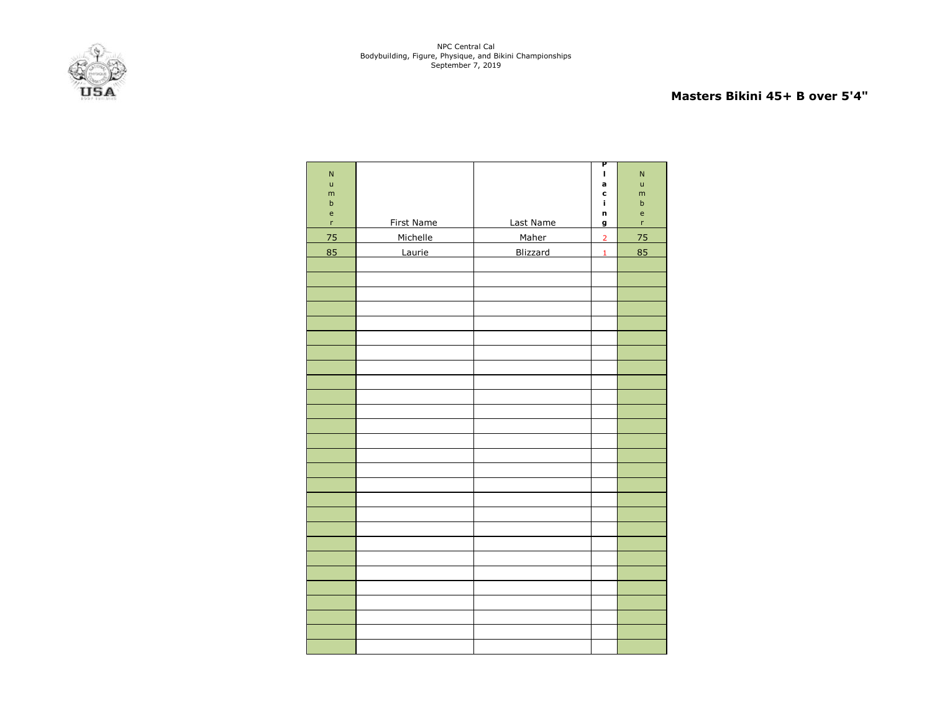

### **Masters Bikini 45+ B over 5'4"**

| ${\sf N}$<br>$\mathsf{u}$<br>m<br>$\sf b$<br>$\mathsf{e}% _{t}\left( t\right)$ |            |           | P<br>I,<br>a<br>C<br>Î.<br>n | $\overline{\mathsf{N}}$<br>ū<br>m<br>$\mathsf b$<br>$\mathsf{e}$ |
|--------------------------------------------------------------------------------|------------|-----------|------------------------------|------------------------------------------------------------------|
| $\mathsf{r}$                                                                   | First Name | Last Name | $\mathbf{g}$                 | $\mathsf{r}$                                                     |
| 75                                                                             | Michelle   | Maher     | $\overline{2}$               | 75                                                               |
| 85                                                                             | Laurie     | Blizzard  | $\mathbf 1$                  | 85                                                               |
|                                                                                |            |           |                              |                                                                  |
|                                                                                |            |           |                              |                                                                  |
|                                                                                |            |           |                              |                                                                  |
|                                                                                |            |           |                              |                                                                  |
|                                                                                |            |           |                              |                                                                  |
|                                                                                |            |           |                              |                                                                  |
|                                                                                |            |           |                              |                                                                  |
|                                                                                |            |           |                              |                                                                  |
|                                                                                |            |           |                              |                                                                  |
|                                                                                |            |           |                              |                                                                  |
|                                                                                |            |           |                              |                                                                  |
|                                                                                |            |           |                              |                                                                  |
|                                                                                |            |           |                              |                                                                  |
|                                                                                |            |           |                              |                                                                  |
|                                                                                |            |           |                              |                                                                  |
|                                                                                |            |           |                              |                                                                  |
|                                                                                |            |           |                              |                                                                  |
|                                                                                |            |           |                              |                                                                  |
|                                                                                |            |           |                              |                                                                  |
|                                                                                |            |           |                              |                                                                  |
|                                                                                |            |           |                              |                                                                  |
|                                                                                |            |           |                              |                                                                  |
|                                                                                |            |           |                              |                                                                  |
|                                                                                |            |           |                              |                                                                  |
|                                                                                |            |           |                              |                                                                  |
|                                                                                |            |           |                              |                                                                  |
|                                                                                |            |           |                              |                                                                  |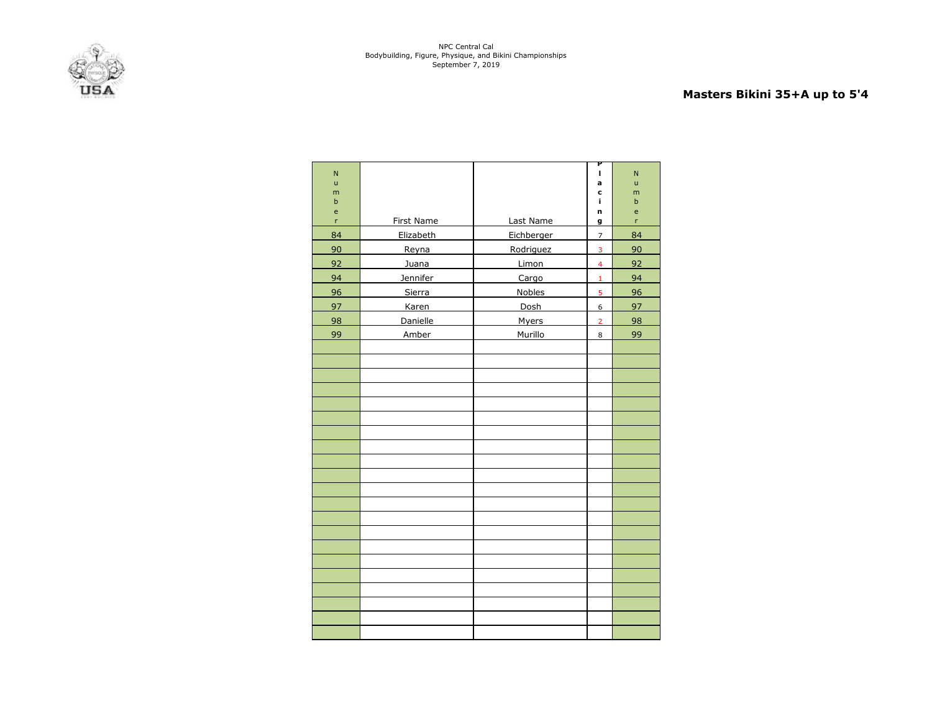

# **Masters Bikini 35+A up to 5'4**

| N                                 |            |               | P<br>I                  | N                |
|-----------------------------------|------------|---------------|-------------------------|------------------|
| $\mathsf{u}$                      |            |               | a                       | ū                |
| m<br>$\mathbf b$                  |            |               | c<br>i,                 | m<br>$\mathsf b$ |
| $\mathsf{e}% _{t}\left( t\right)$ |            |               | n                       | e                |
| 'n                                | First Name | Last Name     | g                       | r                |
| 84                                | Elizabeth  | Eichberger    | $\overline{7}$          | 84               |
| 90                                | Reyna      | Rodriguez     | 3                       | 90               |
| 92                                | Juana      | Limon         | $\overline{\mathbf{4}}$ | 92               |
| 94                                | Jennifer   | Cargo         | $\mathbf{1}$            | 94               |
| 96                                | Sierra     | <b>Nobles</b> | 5                       | 96               |
| 97                                | Karen      | Dosh          | 6                       | 97               |
| 98                                | Danielle   | Myers         | $\overline{2}$          | 98               |
| 99                                | Amber      | Murillo       | 8                       | 99               |
|                                   |            |               |                         |                  |
|                                   |            |               |                         |                  |
|                                   |            |               |                         |                  |
|                                   |            |               |                         |                  |
|                                   |            |               |                         |                  |
|                                   |            |               |                         |                  |
|                                   |            |               |                         |                  |
|                                   |            |               |                         |                  |
|                                   |            |               |                         |                  |
|                                   |            |               |                         |                  |
|                                   |            |               |                         |                  |
|                                   |            |               |                         |                  |
|                                   |            |               |                         |                  |
|                                   |            |               |                         |                  |
|                                   |            |               |                         |                  |
|                                   |            |               |                         |                  |
|                                   |            |               |                         |                  |
|                                   |            |               |                         |                  |
|                                   |            |               |                         |                  |
|                                   |            |               |                         |                  |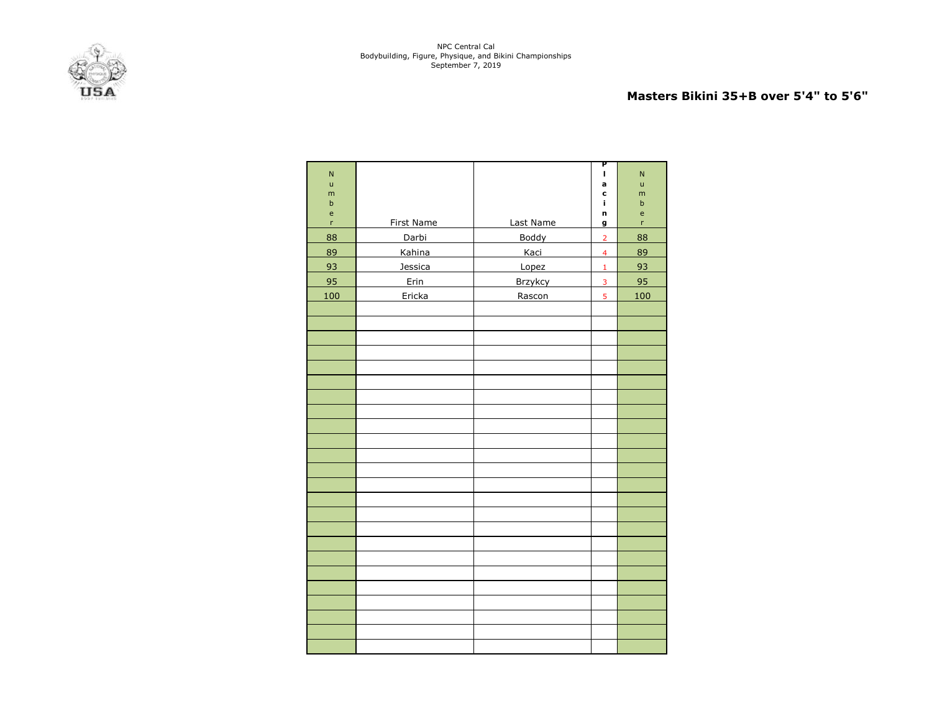

### **Masters Bikini 35+B over 5'4" to 5'6"**

| $\overline{\mathsf{N}}$ |            |                | P<br>$\mathbf I$        | ${\sf N}$                                             |
|-------------------------|------------|----------------|-------------------------|-------------------------------------------------------|
| $\mathsf{u}$            |            |                | a                       | $\sf u$                                               |
| m                       |            |                | c                       | m                                                     |
| $\sf b$<br>e            |            |                | í.<br>n                 | $\sf b$<br>$\mathsf{e}% _{0}\left( \mathsf{e}\right)$ |
| r                       | First Name | Last Name      | g                       | 'n                                                    |
| 88                      | Darbi      | Boddy          | $\overline{2}$          | 88                                                    |
| 89                      | Kahina     | Kaci           | $\overline{\mathbf{4}}$ | 89                                                    |
| 93                      | Jessica    | Lopez          | $\mathbf 1$             | 93                                                    |
| 95                      | Erin       | <b>Brzykcy</b> | $\overline{3}$          | 95                                                    |
| 100                     | Ericka     | Rascon         | 5                       | 100                                                   |
|                         |            |                |                         |                                                       |
|                         |            |                |                         |                                                       |
|                         |            |                |                         |                                                       |
|                         |            |                |                         |                                                       |
|                         |            |                |                         |                                                       |
|                         |            |                |                         |                                                       |
|                         |            |                |                         |                                                       |
|                         |            |                |                         |                                                       |
|                         |            |                |                         |                                                       |
|                         |            |                |                         |                                                       |
|                         |            |                |                         |                                                       |
|                         |            |                |                         |                                                       |
|                         |            |                |                         |                                                       |
|                         |            |                |                         |                                                       |
|                         |            |                |                         |                                                       |
|                         |            |                |                         |                                                       |
|                         |            |                |                         |                                                       |
|                         |            |                |                         |                                                       |
|                         |            |                |                         |                                                       |
|                         |            |                |                         |                                                       |
|                         |            |                |                         |                                                       |
|                         |            |                |                         |                                                       |
|                         |            |                |                         |                                                       |
|                         |            |                |                         |                                                       |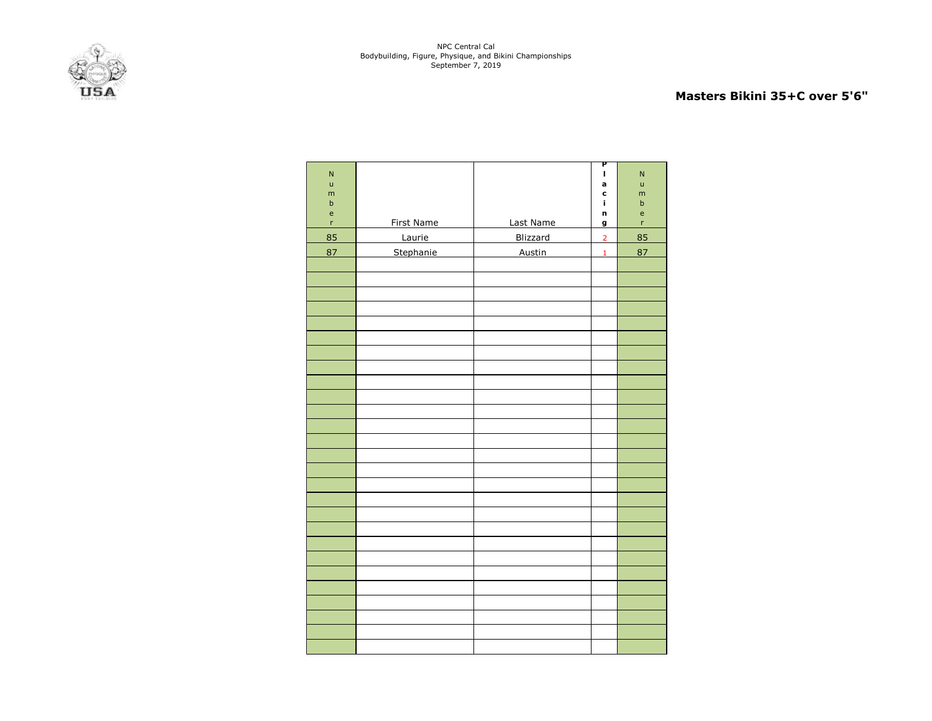

## **Masters Bikini 35+C over 5'6"**

| ${\sf N}$<br>ū<br>m<br>$\sf b$<br>$\mathsf{e}% _{t}\left( t\right)$ |            |               | P<br>I,<br>a<br>C<br>Î. | $\overline{\mathsf{N}}$<br>u<br>m<br>$\mathsf b$ |
|---------------------------------------------------------------------|------------|---------------|-------------------------|--------------------------------------------------|
| $\mathsf{r}$                                                        | First Name | Last Name     | n<br>g                  | $\mathsf{e}$<br>$\mathsf{r}$                     |
| 85                                                                  | Laurie     | Blizzard      | $\overline{2}$          | 85                                               |
| 87                                                                  | Stephanie  | <b>Austin</b> | $\mathbf 1$             | 87                                               |
|                                                                     |            |               |                         |                                                  |
|                                                                     |            |               |                         |                                                  |
|                                                                     |            |               |                         |                                                  |
|                                                                     |            |               |                         |                                                  |
|                                                                     |            |               |                         |                                                  |
|                                                                     |            |               |                         |                                                  |
|                                                                     |            |               |                         |                                                  |
|                                                                     |            |               |                         |                                                  |
|                                                                     |            |               |                         |                                                  |
|                                                                     |            |               |                         |                                                  |
|                                                                     |            |               |                         |                                                  |
|                                                                     |            |               |                         |                                                  |
|                                                                     |            |               |                         |                                                  |
|                                                                     |            |               |                         |                                                  |
|                                                                     |            |               |                         |                                                  |
|                                                                     |            |               |                         |                                                  |
|                                                                     |            |               |                         |                                                  |
|                                                                     |            |               |                         |                                                  |
|                                                                     |            |               |                         |                                                  |
|                                                                     |            |               |                         |                                                  |
|                                                                     |            |               |                         |                                                  |
|                                                                     |            |               |                         |                                                  |
|                                                                     |            |               |                         |                                                  |
|                                                                     |            |               |                         |                                                  |
|                                                                     |            |               |                         |                                                  |
|                                                                     |            |               |                         |                                                  |
|                                                                     |            |               |                         |                                                  |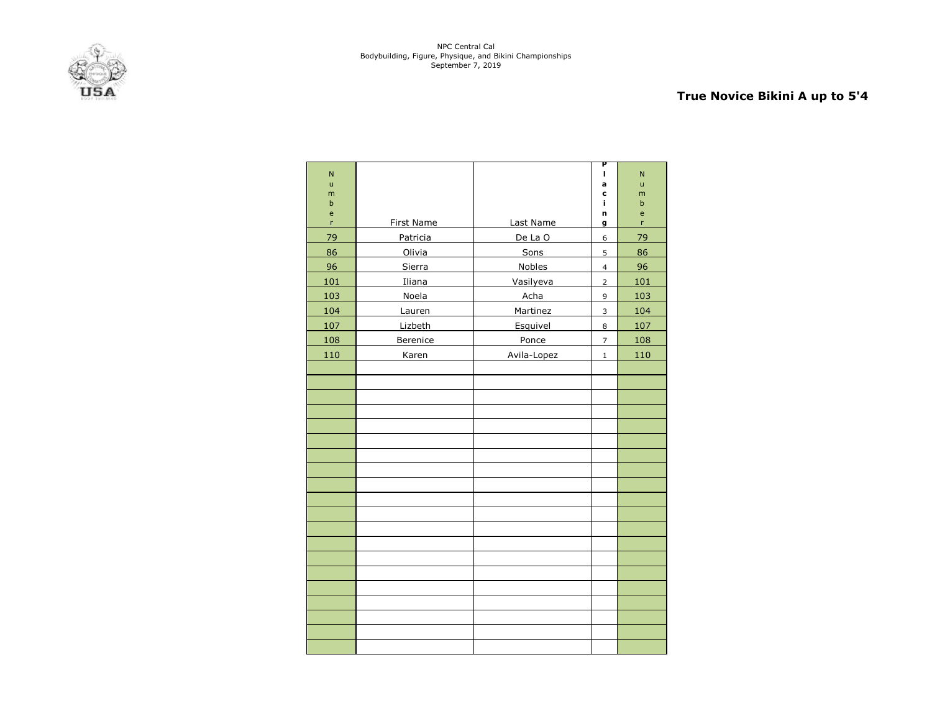

# **True Novice Bikini A up to 5'4**

| N                |                   |               | Ρ<br>ı         | N      |
|------------------|-------------------|---------------|----------------|--------|
| ū                |                   |               | a              | ū      |
| m<br>$\mathbf b$ |                   |               | c<br>j,        | m      |
| e                |                   |               | n              | b<br>e |
| r                | <b>First Name</b> | Last Name     | g              | r      |
| 79               | Patricia          | De La O       | 6              | 79     |
| 86               | Olivia            | Sons          | 5              | 86     |
| 96               | Sierra            | <b>Nobles</b> | $\overline{4}$ | 96     |
| 101              | Iliana            | Vasilyeva     | $\overline{2}$ | 101    |
| 103              | Noela             | Acha          | 9              | 103    |
| 104              | Lauren            | Martinez      | 3              | 104    |
| 107              | Lizbeth           | Esquivel      | 8              | 107    |
| 108              | Berenice          | Ponce         | $\overline{7}$ | 108    |
| 110              | Karen             | Avila-Lopez   | $\mathbf{1}$   | 110    |
|                  |                   |               |                |        |
|                  |                   |               |                |        |
|                  |                   |               |                |        |
|                  |                   |               |                |        |
|                  |                   |               |                |        |
|                  |                   |               |                |        |
|                  |                   |               |                |        |
|                  |                   |               |                |        |
|                  |                   |               |                |        |
|                  |                   |               |                |        |
|                  |                   |               |                |        |
|                  |                   |               |                |        |
|                  |                   |               |                |        |
|                  |                   |               |                |        |
|                  |                   |               |                |        |
|                  |                   |               |                |        |
|                  |                   |               |                |        |
|                  |                   |               |                |        |
|                  |                   |               |                |        |
|                  |                   |               |                |        |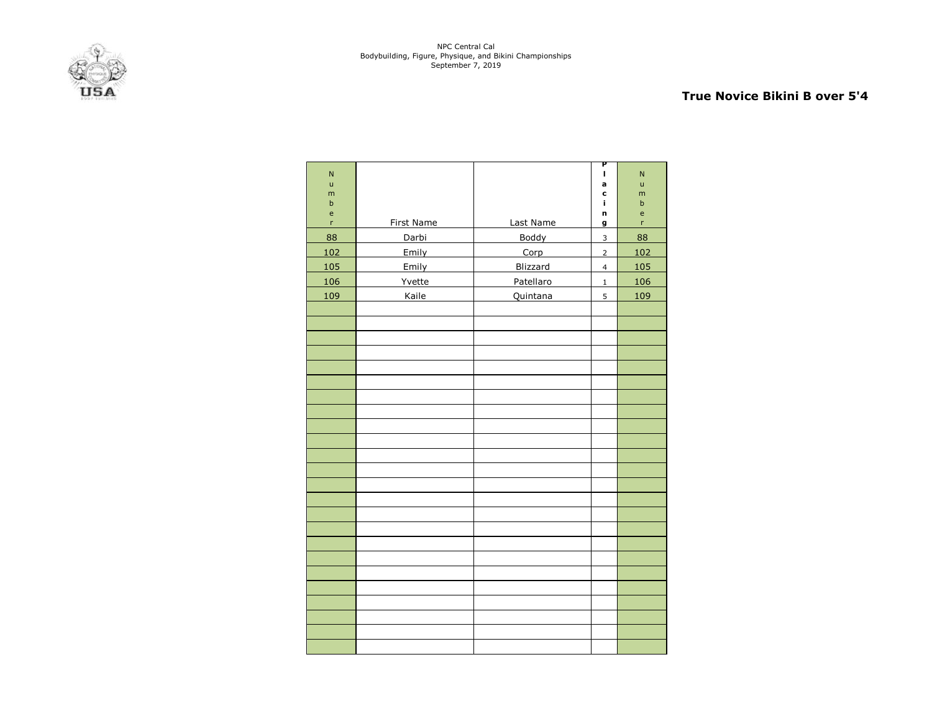

## **True Novice Bikini B over 5'4**

| $\overline{N}$ |            |           | Ρ<br>п         | $\overline{N}$ |
|----------------|------------|-----------|----------------|----------------|
| $\mathsf{u}$   |            |           | a              | ū              |
| m<br>$\sf b$   |            |           | C<br>i,        | m<br>$\sf b$   |
| e              |            |           | n              | e              |
| 'n             | First Name | Last Name | g              | 'n             |
| 88             | Darbi      | Boddy     | $\overline{3}$ | 88             |
| 102            | Emily      | Corp      | $\overline{2}$ | 102            |
| 105            | Emily      | Blizzard  | $\overline{4}$ | 105            |
| 106            | Yvette     | Patellaro | $\mathbf 1$    | 106            |
| 109            | Kaile      | Quintana  | 5              | 109            |
|                |            |           |                |                |
|                |            |           |                |                |
|                |            |           |                |                |
|                |            |           |                |                |
|                |            |           |                |                |
|                |            |           |                |                |
|                |            |           |                |                |
|                |            |           |                |                |
|                |            |           |                |                |
|                |            |           |                |                |
|                |            |           |                |                |
|                |            |           |                |                |
|                |            |           |                |                |
|                |            |           |                |                |
|                |            |           |                |                |
|                |            |           |                |                |
|                |            |           |                |                |
|                |            |           |                |                |
|                |            |           |                |                |
|                |            |           |                |                |
|                |            |           |                |                |
|                |            |           |                |                |
|                |            |           |                |                |
|                |            |           |                |                |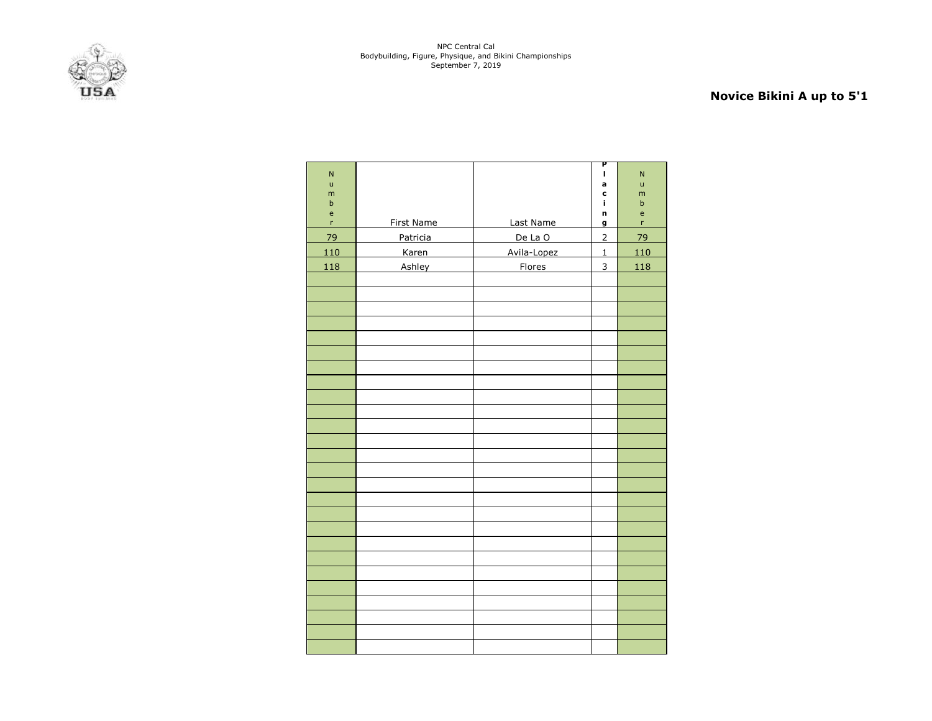# **Novice Bikini A up to 5'1**

| $\overline{N}$<br>ū<br>m                                             |              |               | Ρ<br>$\mathbf I$<br>a<br>c | $\overline{\mathsf{N}}$<br>$\mathsf{u}$<br>m     |
|----------------------------------------------------------------------|--------------|---------------|----------------------------|--------------------------------------------------|
| $\sf b$                                                              |              |               | ĩ.                         | $\sf b$                                          |
| $\mathsf{e}% _{0}\left( \mathsf{e}_{0}\right)$<br>$\bar{\mathbf{r}}$ | First Name   | Last Name     | n<br>g                     | $\mathsf{e}% _{0}\left( \mathsf{e}\right)$<br>'n |
| 79                                                                   | Patricia     | De La O       | $\overline{2}$             | 79                                               |
| 110                                                                  | <b>Karen</b> | Avila-Lopez   | $\mathbf 1$                | 110                                              |
| 118                                                                  | Ashley       | <b>Flores</b> | 3                          | 118                                              |
|                                                                      |              |               |                            |                                                  |
|                                                                      |              |               |                            |                                                  |
|                                                                      |              |               |                            |                                                  |
|                                                                      |              |               |                            |                                                  |
|                                                                      |              |               |                            |                                                  |
|                                                                      |              |               |                            |                                                  |
|                                                                      |              |               |                            |                                                  |
|                                                                      |              |               |                            |                                                  |
|                                                                      |              |               |                            |                                                  |
|                                                                      |              |               |                            |                                                  |
|                                                                      |              |               |                            |                                                  |
|                                                                      |              |               |                            |                                                  |
|                                                                      |              |               |                            |                                                  |
|                                                                      |              |               |                            |                                                  |
|                                                                      |              |               |                            |                                                  |
|                                                                      |              |               |                            |                                                  |
|                                                                      |              |               |                            |                                                  |
|                                                                      |              |               |                            |                                                  |
|                                                                      |              |               |                            |                                                  |
|                                                                      |              |               |                            |                                                  |
|                                                                      |              |               |                            |                                                  |
|                                                                      |              |               |                            |                                                  |
|                                                                      |              |               |                            |                                                  |
|                                                                      |              |               |                            |                                                  |
|                                                                      |              |               |                            |                                                  |
|                                                                      |              |               |                            |                                                  |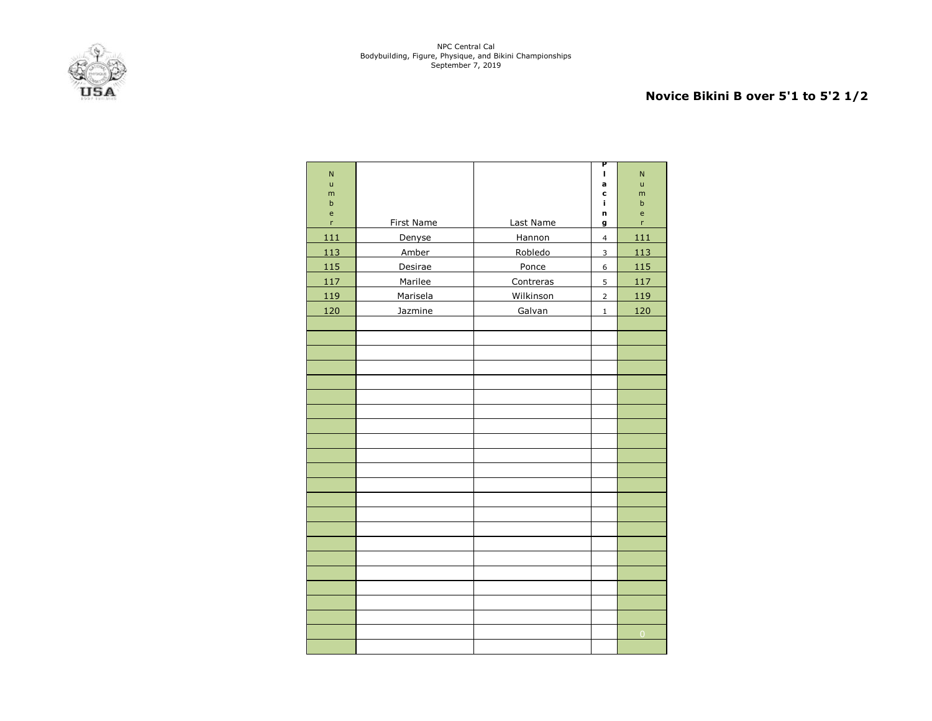

## **Novice Bikini B over 5'1 to 5'2 1/2**

| N                |                   |           | Ρ<br>I.                 | $\overline{\mathsf{N}}$ |
|------------------|-------------------|-----------|-------------------------|-------------------------|
| $\mathsf{u}$     |                   |           | a                       | ū                       |
| m<br>$\mathsf b$ |                   |           | C<br>i.                 | m<br>$\sf b$            |
| e                |                   |           | n                       | e                       |
| 'n               | <b>First Name</b> | Last Name | g                       | 'n                      |
| 111              | Denyse            | Hannon    | $\overline{\mathbf{4}}$ | 111                     |
| 113              | <b>Amber</b>      | Robledo   | $\overline{3}$          | 113                     |
| 115              | Desirae           | Ponce     | 6                       | 115                     |
| 117              | Marilee           | Contreras | $\overline{5}$          | 117                     |
| 119              | Marisela          | Wilkinson | $\overline{2}$          | 119                     |
| 120              | Jazmine           | Galvan    | $\mathbf 1$             | 120                     |
|                  |                   |           |                         |                         |
|                  |                   |           |                         |                         |
|                  |                   |           |                         |                         |
|                  |                   |           |                         |                         |
|                  |                   |           |                         |                         |
|                  |                   |           |                         |                         |
|                  |                   |           |                         |                         |
|                  |                   |           |                         |                         |
|                  |                   |           |                         |                         |
|                  |                   |           |                         |                         |
|                  |                   |           |                         |                         |
|                  |                   |           |                         |                         |
|                  |                   |           |                         |                         |
|                  |                   |           |                         |                         |
|                  |                   |           |                         |                         |
|                  |                   |           |                         |                         |
|                  |                   |           |                         |                         |
|                  |                   |           |                         |                         |
|                  |                   |           |                         |                         |
|                  |                   |           |                         |                         |
|                  |                   |           |                         |                         |
|                  |                   |           |                         | $\overline{0}$          |
|                  |                   |           |                         |                         |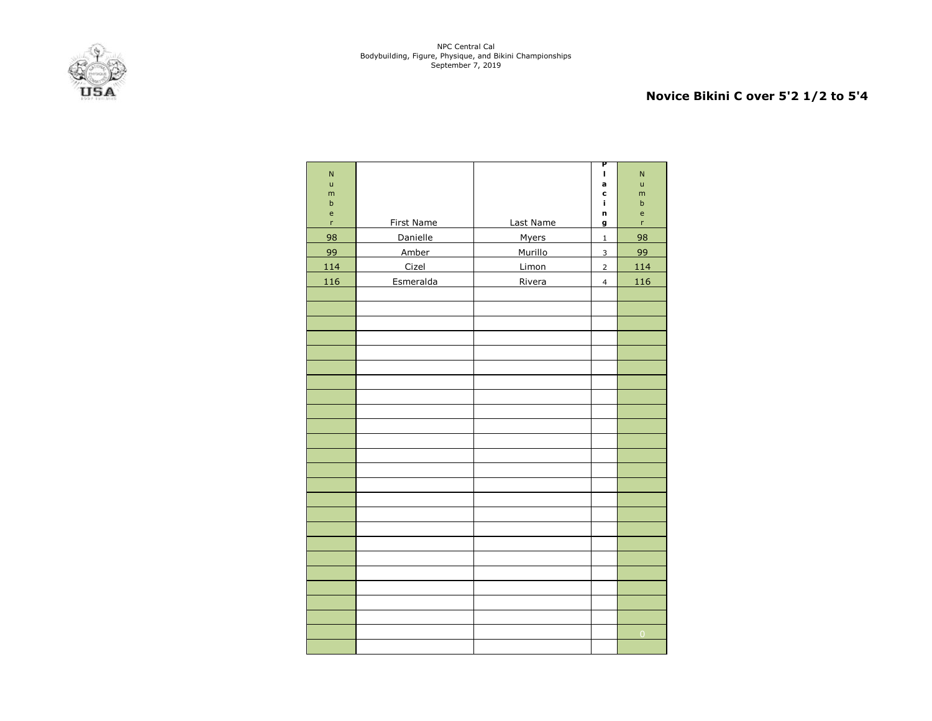

# **Novice Bikini C over 5'2 1/2 to 5'4**

| $\overline{\mathsf{N}}$<br>ū |            |              | P<br>$\mathbf{I}$<br>a | $\overline{\mathsf{N}}$<br>ū |
|------------------------------|------------|--------------|------------------------|------------------------------|
| m<br>$\sf b$                 |            |              | C<br>i,                | m<br>$\mathsf b$             |
| $\mathsf{e}% _{T}$           |            |              | n                      | $\mathsf{e}$                 |
| $\mathsf{r}$                 | First Name | Last Name    | g                      | 'n                           |
| 98                           | Danielle   | <b>Myers</b> | $\mathbf 1$            | 98                           |
| 99                           | Amber      | Murillo      | $\mathbf{3}$           | 99                           |
| 114                          | Cizel      | Limon        | $\overline{2}$         | 114                          |
| 116                          | Esmeralda  | Rivera       | $\overline{4}$         | 116                          |
|                              |            |              |                        |                              |
|                              |            |              |                        |                              |
|                              |            |              |                        |                              |
|                              |            |              |                        |                              |
|                              |            |              |                        |                              |
|                              |            |              |                        |                              |
|                              |            |              |                        |                              |
|                              |            |              |                        |                              |
|                              |            |              |                        |                              |
|                              |            |              |                        |                              |
|                              |            |              |                        |                              |
|                              |            |              |                        |                              |
|                              |            |              |                        |                              |
|                              |            |              |                        |                              |
|                              |            |              |                        |                              |
|                              |            |              |                        |                              |
|                              |            |              |                        |                              |
|                              |            |              |                        |                              |
|                              |            |              |                        |                              |
|                              |            |              |                        |                              |
|                              |            |              |                        |                              |
|                              |            |              |                        |                              |
|                              |            |              |                        | $\overline{0}$               |
|                              |            |              |                        |                              |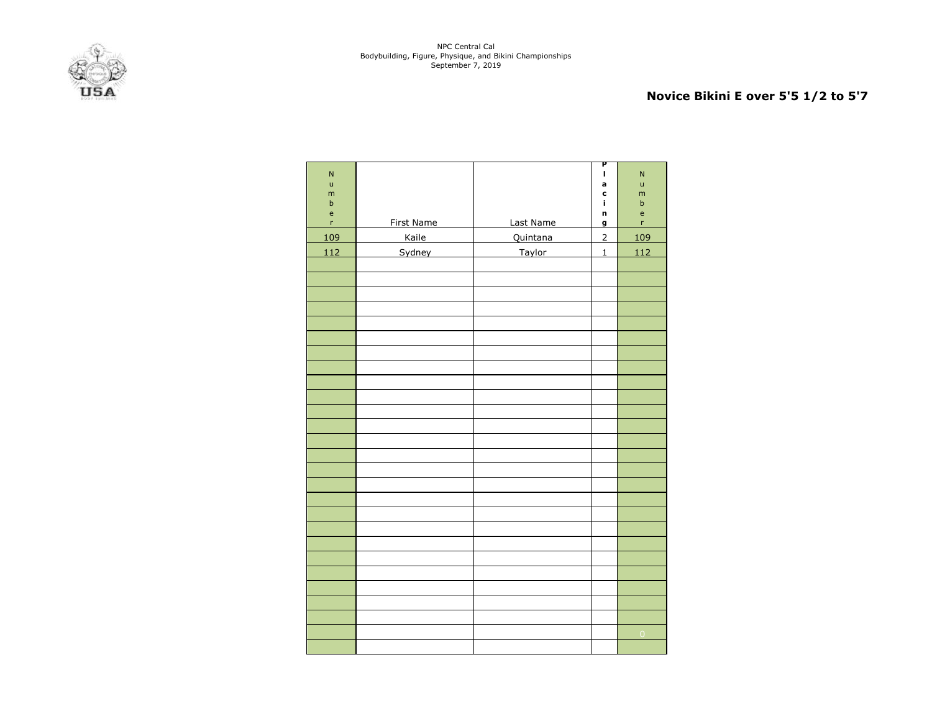

# **Novice Bikini E over 5'5 1/2 to 5'7**

| $\overline{\mathsf{N}}$<br>ū<br>m<br>$\sf b$<br>$\mathsf{e}% _{0}\left( \mathsf{e}\right)$ |            |           | P<br>I<br>a<br>c<br>í.<br>n | $\overline{\mathsf{N}}$<br>ū<br>m<br>$\sf b$<br>$\mathsf{e}% _{0}\left( \mathsf{e}\right)$ |
|--------------------------------------------------------------------------------------------|------------|-----------|-----------------------------|--------------------------------------------------------------------------------------------|
| $\bar{\mathbf{r}}$                                                                         | First Name | Last Name | g                           | 'n                                                                                         |
| 109                                                                                        | Kaile      | Quintana  | $\overline{2}$              | 109                                                                                        |
| 112                                                                                        | Sydney     | Taylor    | $\mathbf 1$                 | 112                                                                                        |
|                                                                                            |            |           |                             |                                                                                            |
|                                                                                            |            |           |                             |                                                                                            |
|                                                                                            |            |           |                             |                                                                                            |
|                                                                                            |            |           |                             |                                                                                            |
|                                                                                            |            |           |                             |                                                                                            |
|                                                                                            |            |           |                             |                                                                                            |
|                                                                                            |            |           |                             |                                                                                            |
|                                                                                            |            |           |                             |                                                                                            |
|                                                                                            |            |           |                             |                                                                                            |
|                                                                                            |            |           |                             |                                                                                            |
|                                                                                            |            |           |                             |                                                                                            |
|                                                                                            |            |           |                             |                                                                                            |
|                                                                                            |            |           |                             |                                                                                            |
|                                                                                            |            |           |                             |                                                                                            |
|                                                                                            |            |           |                             |                                                                                            |
|                                                                                            |            |           |                             |                                                                                            |
|                                                                                            |            |           |                             |                                                                                            |
|                                                                                            |            |           |                             |                                                                                            |
|                                                                                            |            |           |                             |                                                                                            |
|                                                                                            |            |           |                             |                                                                                            |
|                                                                                            |            |           |                             |                                                                                            |
|                                                                                            |            |           |                             |                                                                                            |
|                                                                                            |            |           |                             |                                                                                            |
|                                                                                            |            |           |                             |                                                                                            |
|                                                                                            |            |           |                             |                                                                                            |
|                                                                                            |            |           |                             | $\overline{0}$                                                                             |
|                                                                                            |            |           |                             |                                                                                            |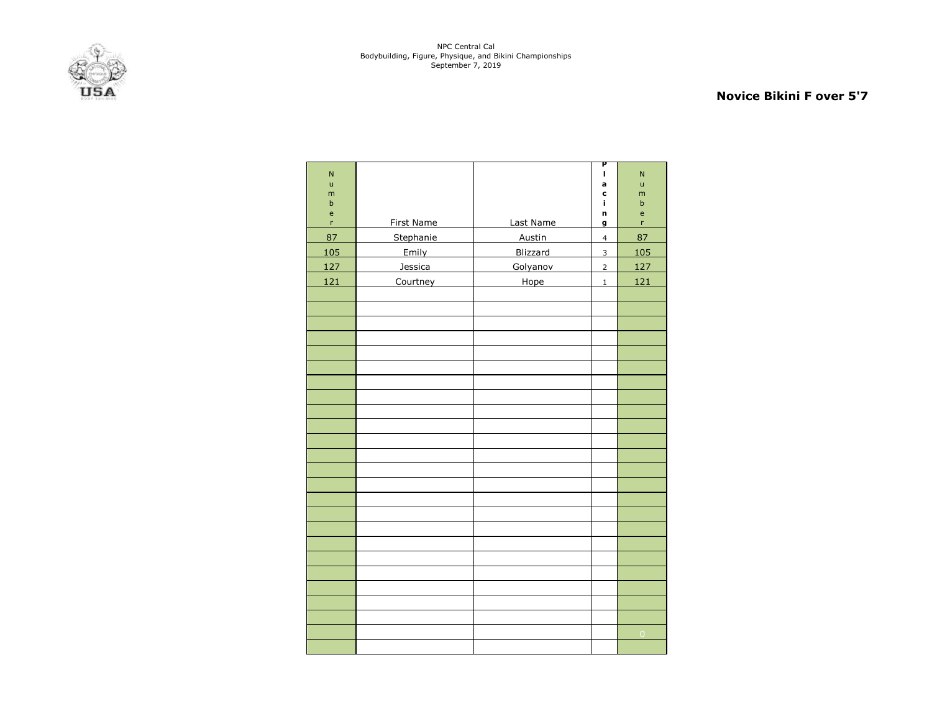

## **Novice Bikini F over 5'7**

| N<br>$\mathsf{u}$<br>m<br>$\sf b$ |            |                 | P<br>I,<br>a<br>C<br>j. | $\overline{N}$<br>ū<br>m<br>$\sf b$ |
|-----------------------------------|------------|-----------------|-------------------------|-------------------------------------|
| e                                 |            |                 | n                       | e                                   |
| $\mathsf{r}$                      | First Name | Last Name       | g                       | r                                   |
| 87                                | Stephanie  | Austin          | $\overline{4}$          | 87                                  |
| 105                               | Emily      | <b>Blizzard</b> | 3                       | 105                                 |
| 127                               | Jessica    | Golyanov        | $\overline{2}$          | 127                                 |
| 121                               | Courtney   | Hope            | $\mathbf 1$             | 121                                 |
|                                   |            |                 |                         |                                     |
|                                   |            |                 |                         |                                     |
|                                   |            |                 |                         |                                     |
|                                   |            |                 |                         |                                     |
|                                   |            |                 |                         |                                     |
|                                   |            |                 |                         |                                     |
|                                   |            |                 |                         |                                     |
|                                   |            |                 |                         |                                     |
|                                   |            |                 |                         |                                     |
|                                   |            |                 |                         |                                     |
|                                   |            |                 |                         |                                     |
|                                   |            |                 |                         |                                     |
|                                   |            |                 |                         |                                     |
|                                   |            |                 |                         |                                     |
|                                   |            |                 |                         |                                     |
|                                   |            |                 |                         |                                     |
|                                   |            |                 |                         |                                     |
|                                   |            |                 |                         |                                     |
|                                   |            |                 |                         |                                     |
|                                   |            |                 |                         |                                     |
|                                   |            |                 |                         |                                     |
|                                   |            |                 |                         |                                     |
|                                   |            |                 |                         |                                     |
|                                   |            |                 |                         | $\overline{0}$                      |
|                                   |            |                 |                         |                                     |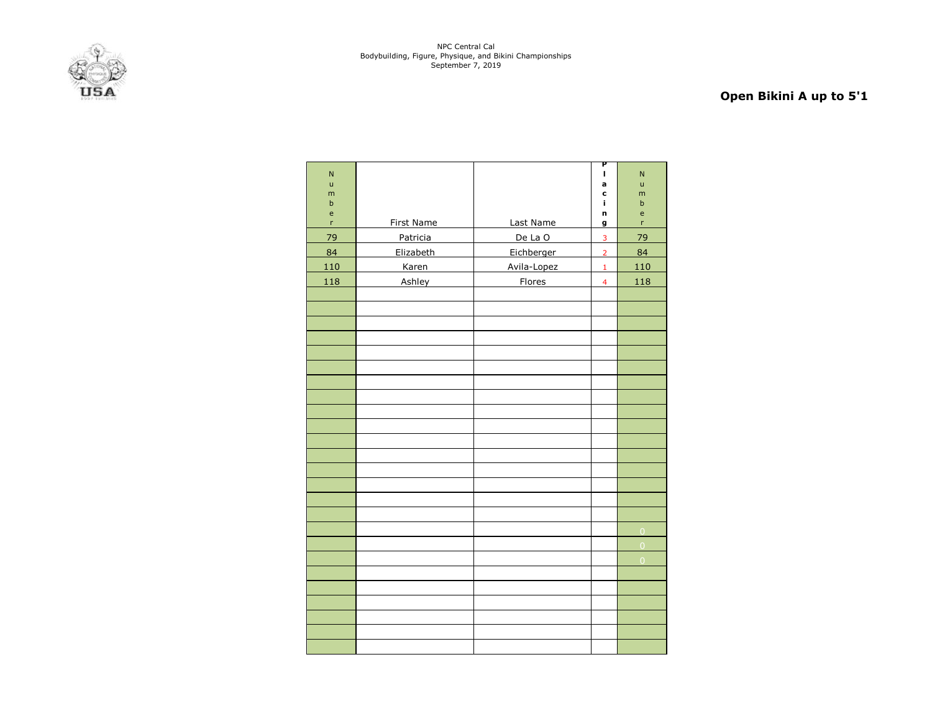

# **Open Bikini A up to 5'1**

| $\overline{\mathsf{N}}$ |                 |               | Ρ<br>I                  | N                |
|-------------------------|-----------------|---------------|-------------------------|------------------|
| $\mathsf{u}$            |                 |               | a                       | ū                |
| m<br>$\sf b$            |                 |               | C<br>î.                 | m<br>$\mathsf b$ |
| e                       |                 |               | n                       | e                |
| $\mathsf{r}$            | First Name      | Last Name     | g                       | 'n               |
| 79                      | <b>Patricia</b> | De La O       | $\overline{3}$          | 79               |
| 84                      | Elizabeth       | Eichberger    | $\overline{2}$          | 84               |
| 110                     | <b>Karen</b>    | Avila-Lopez   | $\mathbf 1$             | 110              |
| 118                     | Ashley          | <b>Flores</b> | $\overline{\mathbf{4}}$ | 118              |
|                         |                 |               |                         |                  |
|                         |                 |               |                         |                  |
|                         |                 |               |                         |                  |
|                         |                 |               |                         |                  |
|                         |                 |               |                         |                  |
|                         |                 |               |                         |                  |
|                         |                 |               |                         |                  |
|                         |                 |               |                         |                  |
|                         |                 |               |                         |                  |
|                         |                 |               |                         |                  |
|                         |                 |               |                         |                  |
|                         |                 |               |                         |                  |
|                         |                 |               |                         |                  |
|                         |                 |               |                         |                  |
|                         |                 |               |                         |                  |
|                         |                 |               |                         |                  |
|                         |                 |               |                         | $\overline{0}$   |
|                         |                 |               |                         | $\overline{0}$   |
|                         |                 |               |                         | $\overline{0}$   |
|                         |                 |               |                         |                  |
|                         |                 |               |                         |                  |
|                         |                 |               |                         |                  |
|                         |                 |               |                         |                  |
|                         |                 |               |                         |                  |
|                         |                 |               |                         |                  |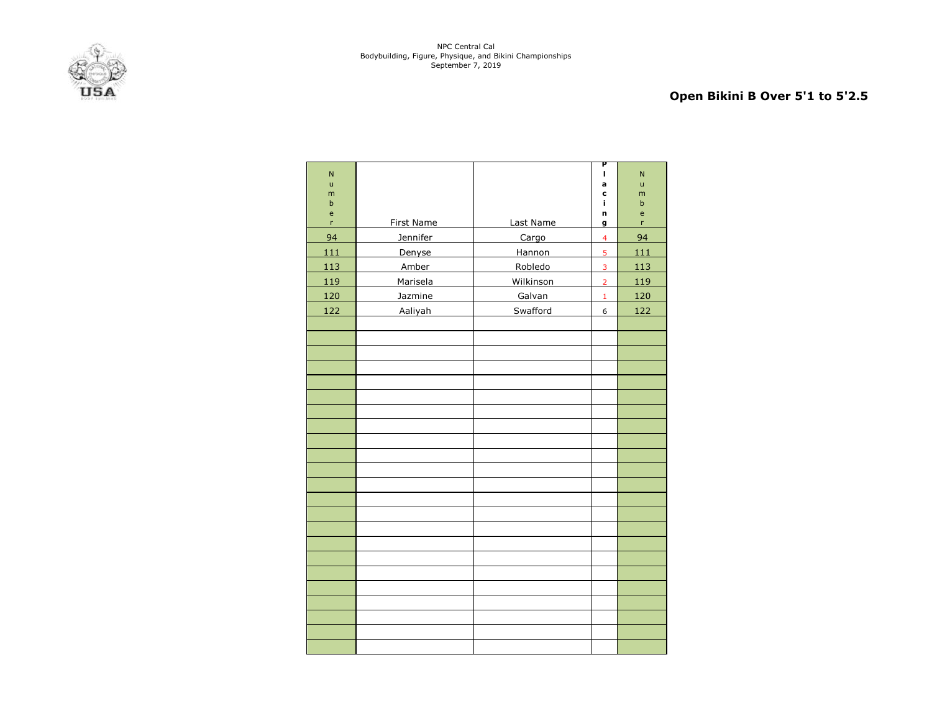

# **Open Bikini B Over 5'1 to 5'2.5**

| $\overline{\mathsf{N}}$ |                   |           | Ρ<br>п                  | N            |
|-------------------------|-------------------|-----------|-------------------------|--------------|
| ū                       |                   |           | a                       | ū            |
| m<br>$\sf b$            |                   |           | C<br>j.                 | m<br>$\sf b$ |
| e                       |                   |           | n                       | e            |
| $\mathsf{r}$            | <b>First Name</b> | Last Name | g                       | r            |
| 94                      | Jennifer          | Cargo     | $\overline{\mathbf{4}}$ | 94           |
| 111                     | Denyse            | Hannon    | 5                       | 111          |
| 113                     | Amber             | Robledo   | $\overline{3}$          | 113          |
| 119                     | Marisela          | Wilkinson | $\overline{2}$          | 119          |
| 120                     | Jazmine           | Galvan    | $\mathbf 1$             | 120          |
| 122                     | Aaliyah           | Swafford  | 6                       | 122          |
|                         |                   |           |                         |              |
|                         |                   |           |                         |              |
|                         |                   |           |                         |              |
|                         |                   |           |                         |              |
|                         |                   |           |                         |              |
|                         |                   |           |                         |              |
|                         |                   |           |                         |              |
|                         |                   |           |                         |              |
|                         |                   |           |                         |              |
|                         |                   |           |                         |              |
|                         |                   |           |                         |              |
|                         |                   |           |                         |              |
|                         |                   |           |                         |              |
|                         |                   |           |                         |              |
|                         |                   |           |                         |              |
|                         |                   |           |                         |              |
|                         |                   |           |                         |              |
|                         |                   |           |                         |              |
|                         |                   |           |                         |              |
|                         |                   |           |                         |              |
|                         |                   |           |                         |              |
|                         |                   |           |                         |              |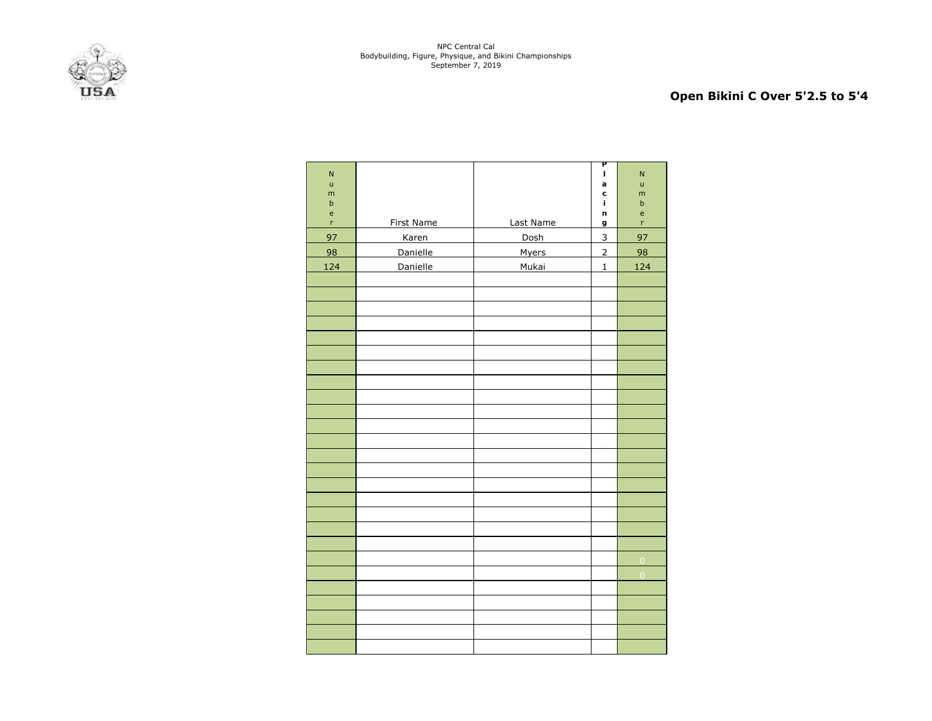

# **Open Bikini C Over 5'2.5 to 5'4**

| N<br>ū                                     |            |              | P<br>I,<br>a   | $\mathsf{N}$<br>ū |
|--------------------------------------------|------------|--------------|----------------|-------------------|
| m<br>$\sf b$                               |            |              | c<br>i,        | m<br>$\sf b$      |
| $\mathsf{e}% _{0}\left( \mathsf{e}\right)$ |            |              | n              | $\mathsf{e}$      |
| $\mathsf{r}$                               | First Name | Last Name    | $\overline{g}$ | 'n                |
| 97                                         | Karen      | Dosh         | $\overline{3}$ | 97                |
| 98                                         | Danielle   | <b>Myers</b> | $\overline{2}$ | 98                |
| 124                                        | Danielle   | Mukai        | $\mathbf{1}$   | 124               |
|                                            |            |              |                |                   |
|                                            |            |              |                |                   |
|                                            |            |              |                |                   |
|                                            |            |              |                |                   |
|                                            |            |              |                |                   |
|                                            |            |              |                |                   |
|                                            |            |              |                |                   |
|                                            |            |              |                |                   |
|                                            |            |              |                |                   |
|                                            |            |              |                |                   |
|                                            |            |              |                |                   |
|                                            |            |              |                |                   |
|                                            |            |              |                |                   |
|                                            |            |              |                |                   |
|                                            |            |              |                |                   |
|                                            |            |              |                |                   |
|                                            |            |              |                |                   |
|                                            |            |              |                |                   |
|                                            |            |              |                |                   |
|                                            |            |              |                | $\overline{0}$    |
|                                            |            |              |                | $\overline{0}$    |
|                                            |            |              |                |                   |
|                                            |            |              |                |                   |
|                                            |            |              |                |                   |
|                                            |            |              |                |                   |
|                                            |            |              |                |                   |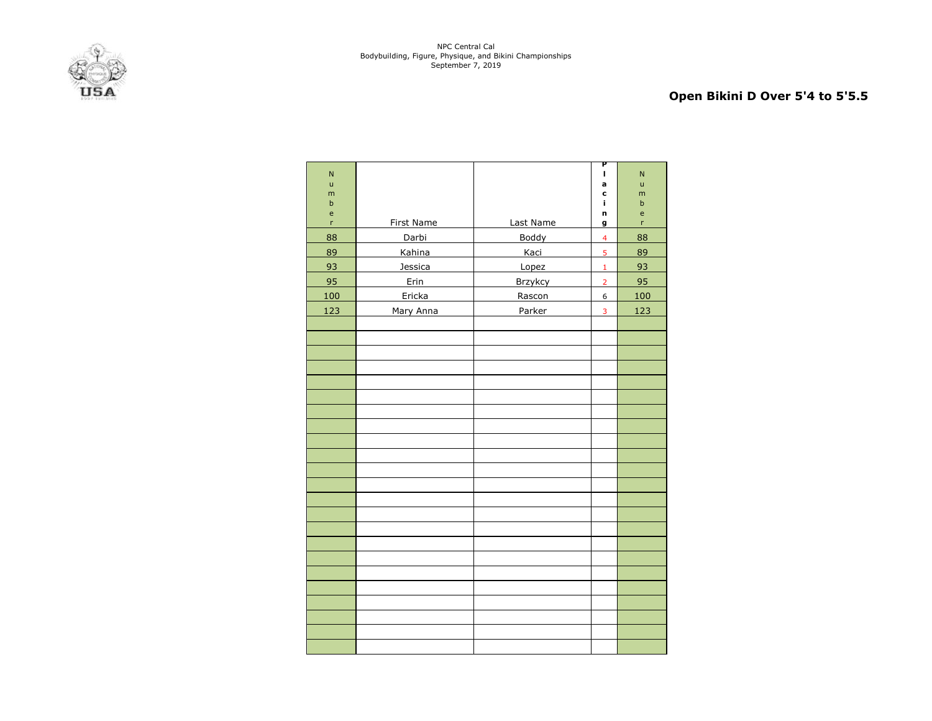

# **Open Bikini D Over 5'4 to 5'5.5**

| $\overline{\mathsf{N}}$ |                   |           | P<br>I,        | N      |
|-------------------------|-------------------|-----------|----------------|--------|
| $\mathsf{u}$            |                   |           | a              | ū      |
| m<br>$\sf b$            |                   |           | C<br>î.        | m<br>b |
| e                       |                   |           | n              | e      |
| $\mathsf{r}$            | <b>First Name</b> | Last Name | g              | 'n     |
| 88                      | Darbi             | Boddy     | $\overline{4}$ | 88     |
| 89                      | Kahina            | Kaci      | 5              | 89     |
| 93                      | Jessica           | Lopez     | $\mathbf 1$    | 93     |
| 95                      | Erin              | Brzykcy   | $\overline{2}$ | 95     |
| 100                     | Ericka            | Rascon    | 6              | 100    |
| 123                     | Mary Anna         | Parker    | 3              | 123    |
|                         |                   |           |                |        |
|                         |                   |           |                |        |
|                         |                   |           |                |        |
|                         |                   |           |                |        |
|                         |                   |           |                |        |
|                         |                   |           |                |        |
|                         |                   |           |                |        |
|                         |                   |           |                |        |
|                         |                   |           |                |        |
|                         |                   |           |                |        |
|                         |                   |           |                |        |
|                         |                   |           |                |        |
|                         |                   |           |                |        |
|                         |                   |           |                |        |
|                         |                   |           |                |        |
|                         |                   |           |                |        |
|                         |                   |           |                |        |
|                         |                   |           |                |        |
|                         |                   |           |                |        |
|                         |                   |           |                |        |
|                         |                   |           |                |        |
|                         |                   |           |                |        |
|                         |                   |           |                |        |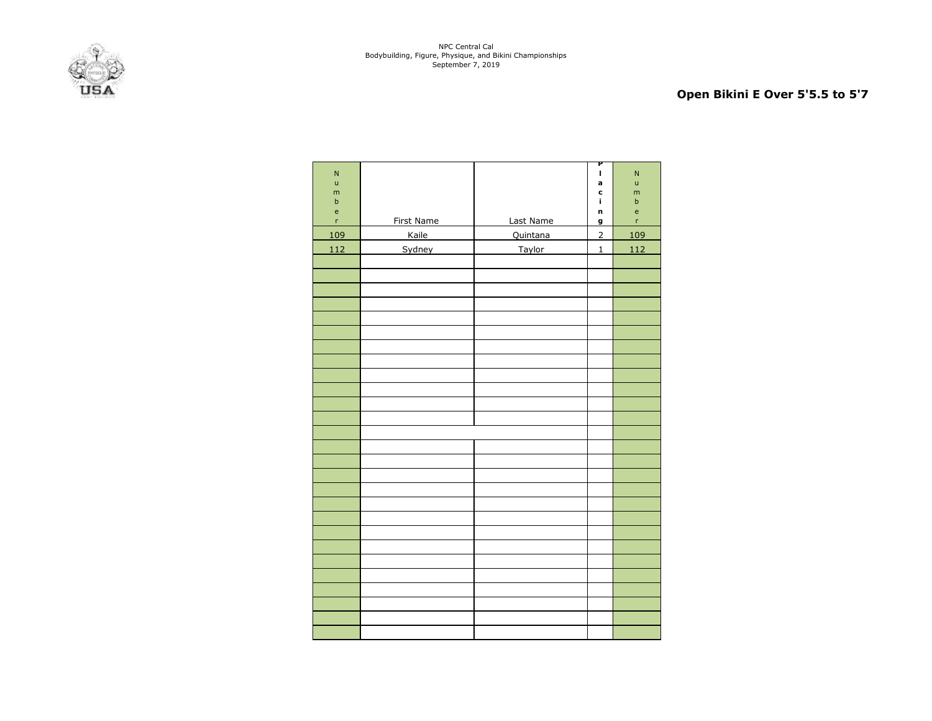

# **Open Bikini E Over 5'5.5 to 5'7**

| Last Name<br>First Name<br>$\bar{\mathbf{r}}$<br>g | 'n<br>109 |
|----------------------------------------------------|-----------|
| Kaile<br>109<br>Quintana<br>$\overline{2}$         |           |
| Sydney<br>Taylor<br>112<br>$\mathbf 1$             | 112       |
|                                                    |           |
|                                                    |           |
|                                                    |           |
|                                                    |           |
|                                                    |           |
|                                                    |           |
|                                                    |           |
|                                                    |           |
|                                                    |           |
|                                                    |           |
|                                                    |           |
|                                                    |           |
|                                                    |           |
|                                                    |           |
|                                                    |           |
|                                                    |           |
|                                                    |           |
|                                                    |           |
|                                                    |           |
|                                                    |           |
|                                                    |           |
|                                                    |           |
|                                                    |           |
|                                                    |           |
|                                                    |           |
|                                                    |           |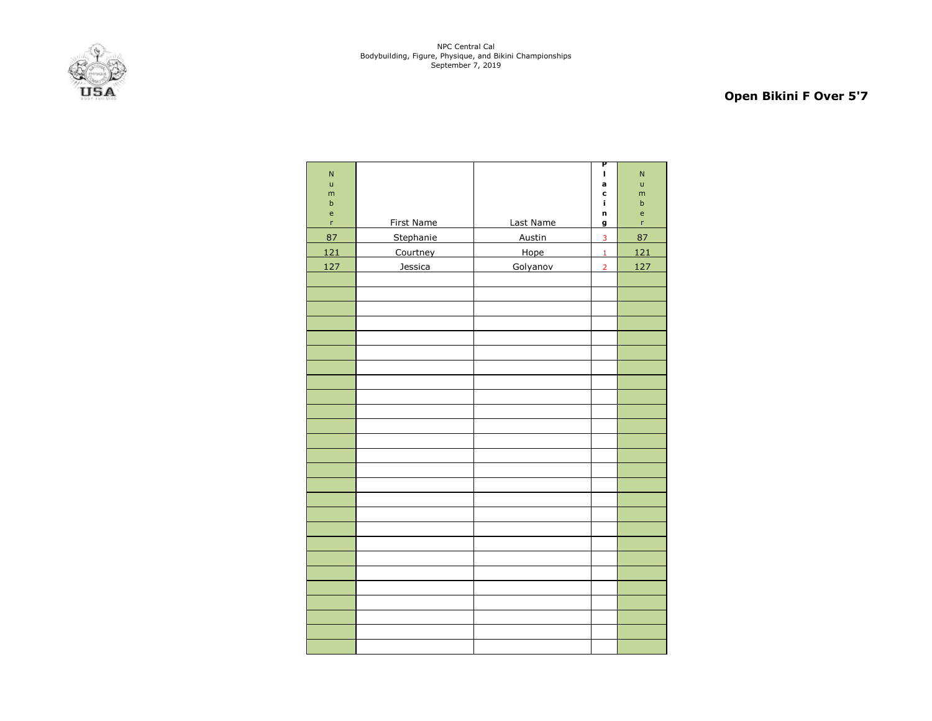

# **Open Bikini F Over 5'7**

| $\overline{\mathsf{N}}$ |            |           | Ρ<br>I,        | $\overline{\mathsf{N}}$ |
|-------------------------|------------|-----------|----------------|-------------------------|
| ū                       |            |           | a              | ū                       |
| m<br>$\sf b$            |            |           | C<br>i,        | m<br>$\sf b$            |
| $\mathsf{e}% _{T}$      |            |           | n              | e                       |
| $\mathsf{r}$            | First Name | Last Name | g              | 'n                      |
| 87                      | Stephanie  | Austin    | $\overline{3}$ | 87                      |
| 121                     | Courtney   | Hope      | $\mathbf{1}$   | 121                     |
| 127                     | Jessica    | Golyanov  | $\overline{2}$ | 127                     |
|                         |            |           |                |                         |
|                         |            |           |                |                         |
|                         |            |           |                |                         |
|                         |            |           |                |                         |
|                         |            |           |                |                         |
|                         |            |           |                |                         |
|                         |            |           |                |                         |
|                         |            |           |                |                         |
|                         |            |           |                |                         |
|                         |            |           |                |                         |
|                         |            |           |                |                         |
|                         |            |           |                |                         |
|                         |            |           |                |                         |
|                         |            |           |                |                         |
|                         |            |           |                |                         |
|                         |            |           |                |                         |
|                         |            |           |                |                         |
|                         |            |           |                |                         |
|                         |            |           |                |                         |
|                         |            |           |                |                         |
|                         |            |           |                |                         |
|                         |            |           |                |                         |
|                         |            |           |                |                         |
|                         |            |           |                |                         |
|                         |            |           |                |                         |
|                         |            |           |                |                         |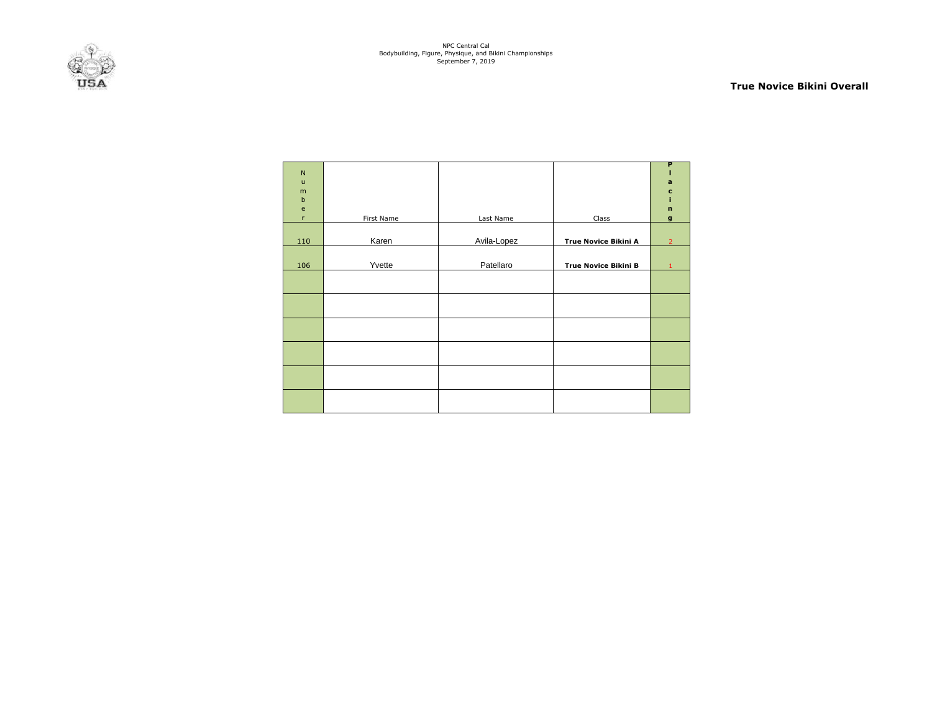

#### **True Novice Bikini Overall**

| $\mathsf{N}$<br>$\mathsf{u}$<br>m<br>$\sf b$<br>$\mathsf{e}% _{t}\left( t\right)$ |            |             |                             | P<br>$\mathbf a$<br>$\mathbf c$<br>$\mathbf n$ |
|-----------------------------------------------------------------------------------|------------|-------------|-----------------------------|------------------------------------------------|
| r                                                                                 | First Name | Last Name   | Class                       | $\mathbf{g}$                                   |
| 110                                                                               | Karen      | Avila-Lopez | <b>True Novice Bikini A</b> | $\overline{2}$                                 |
| 106                                                                               | Yvette     | Patellaro   | <b>True Novice Bikini B</b> | 1                                              |
|                                                                                   |            |             |                             |                                                |
|                                                                                   |            |             |                             |                                                |
|                                                                                   |            |             |                             |                                                |
|                                                                                   |            |             |                             |                                                |
|                                                                                   |            |             |                             |                                                |
|                                                                                   |            |             |                             |                                                |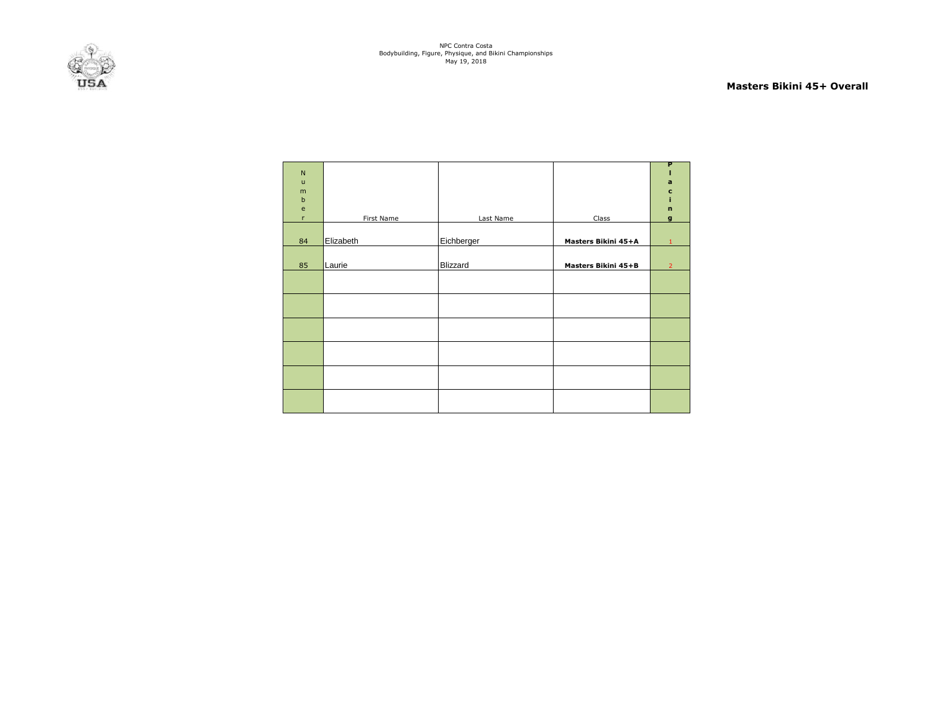

#### **Masters Bikini 45+ Overall**

| ${\sf N}$<br>$\mathsf{u}$<br>m<br>$\sf b$<br>$\mathsf{e}% _{t}\left( t\right)$<br>$\mathsf{r}$ | First Name | Last Name  | Class               | P<br>a<br>c<br>ĩ.<br>$\mathbf n$<br>$\mathbf{g}$ |
|------------------------------------------------------------------------------------------------|------------|------------|---------------------|--------------------------------------------------|
|                                                                                                |            |            |                     |                                                  |
| 84                                                                                             | Elizabeth  | Eichberger | Masters Bikini 45+A | $\mathbf{1}$                                     |
| 85                                                                                             | Laurie     | Blizzard   | Masters Bikini 45+B | $\overline{2}$                                   |
|                                                                                                |            |            |                     |                                                  |
|                                                                                                |            |            |                     |                                                  |
|                                                                                                |            |            |                     |                                                  |
|                                                                                                |            |            |                     |                                                  |
|                                                                                                |            |            |                     |                                                  |
|                                                                                                |            |            |                     |                                                  |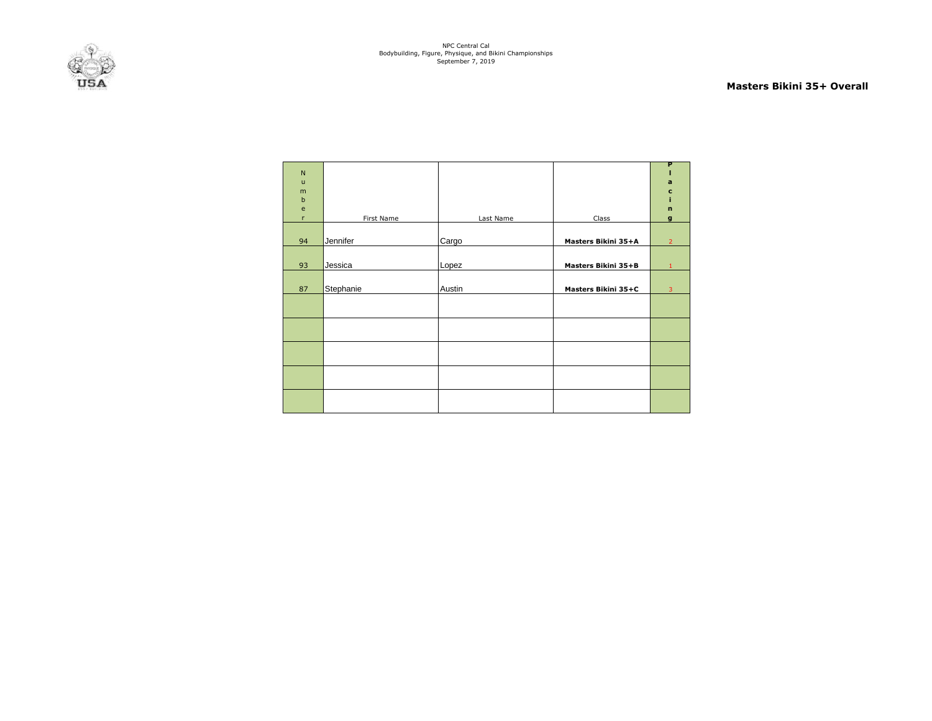

#### **Masters Bikini 35+ Overall**

| N                                 |            |           |                            | P              |
|-----------------------------------|------------|-----------|----------------------------|----------------|
| $\mathsf{u}$<br>m                 |            |           |                            | a<br>c         |
| $\mathbf b$                       |            |           |                            | ĩ.             |
| $\mathsf{e}% _{t}\left( t\right)$ |            |           |                            | $\mathbf n$    |
| $\mathsf{r}$                      | First Name | Last Name | Class                      | $\mathbf{g}$   |
|                                   |            |           |                            |                |
| 94                                | Jennifer   | Cargo     | Masters Bikini 35+A        | $\overline{2}$ |
|                                   |            |           |                            |                |
| 93                                | Jessica    | Lopez     | <b>Masters Bikini 35+B</b> | $\mathbf{1}$   |
|                                   |            |           |                            |                |
| 87                                | Stephanie  | Austin    | Masters Bikini 35+C        | $\overline{3}$ |
|                                   |            |           |                            |                |
|                                   |            |           |                            |                |
|                                   |            |           |                            |                |
|                                   |            |           |                            |                |
|                                   |            |           |                            |                |
|                                   |            |           |                            |                |
|                                   |            |           |                            |                |
|                                   |            |           |                            |                |
|                                   |            |           |                            |                |
|                                   |            |           |                            |                |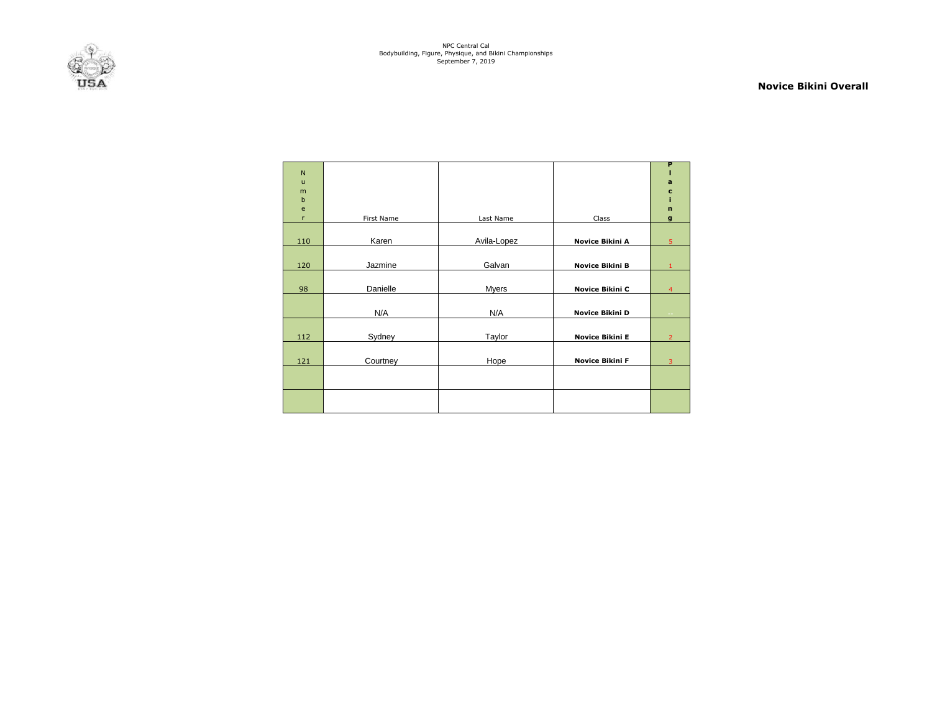

#### **Novice Bikini Overall**

| $\mathsf{N}$<br>$\mathbf{u}$ |            |              |                 | P<br>a         |
|------------------------------|------------|--------------|-----------------|----------------|
| m<br>b                       |            |              |                 | c              |
| e                            |            |              |                 | $\mathbf{r}$   |
| r                            | First Name | Last Name    | Class           | g              |
| 110                          | Karen      | Avila-Lopez  | Novice Bikini A | 5              |
| 120                          | Jazmine    | Galvan       | Novice Bikini B |                |
| 98                           | Danielle   | <b>Myers</b> | Novice Bikini C | 4              |
|                              | N/A        | N/A          | Novice Bikini D |                |
| 112                          | Sydney     | Taylor       | Novice Bikini E | $\overline{2}$ |
| 121                          | Courtney   | Hope         | Novice Bikini F | 3              |
|                              |            |              |                 |                |
|                              |            |              |                 |                |